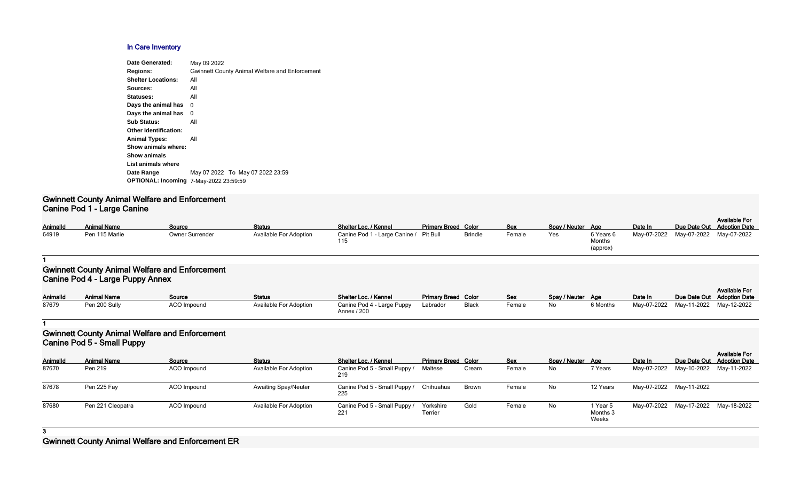#### **In Care Inventory**

| Date Generated:                               | May 09 2022                                           |
|-----------------------------------------------|-------------------------------------------------------|
| <b>Regions:</b>                               | <b>Gwinnett County Animal Welfare and Enforcement</b> |
| <b>Shelter Locations:</b>                     | All                                                   |
| Sources:                                      | All                                                   |
| Statuses:                                     | All                                                   |
| Days the animal has                           | 0                                                     |
| Days the animal has                           | 0                                                     |
| <b>Sub Status:</b>                            | All                                                   |
| <b>Other Identification:</b>                  |                                                       |
| <b>Animal Types:</b>                          | All                                                   |
| Show animals where:                           |                                                       |
| <b>Show animals</b>                           |                                                       |
| List animals where                            |                                                       |
| Date Range                                    | May 07 2022 To May 07 2022 23:59                      |
| <b>OPTIONAL: Incoming 7-May-2022 23:59:59</b> |                                                       |
|                                               |                                                       |

#### **Gwinnett County Animal Welfare and Enforcement Canine Pod 1 - Large Canine**

| AnimalId | <b>Animal Name</b> | <u>Source</u>   | <b>Status</b>          | Shelter Loc. / Kennel                  | <b>Primary Breed Color</b> |                | <b>Sex</b> | Spay / Neuter Age |           | Date In                 | Due Date Out |
|----------|--------------------|-----------------|------------------------|----------------------------------------|----------------------------|----------------|------------|-------------------|-----------|-------------------------|--------------|
| 64919    | Pen 115 Marlie     | Owner Surrender | Available For Adoption | Canine Pod 1 - Large Canine / Pit Bull |                            | <b>Brindle</b> | Female     | Yes               | 6 Years 6 | May-07-2022 May-07-2022 |              |
|          |                    |                 |                        |                                        |                            |                |            |                   | Months    |                         |              |

| Spay / Neuter | Age                             | Date In     | Due Date Out | <b>Available For</b><br><b>Adoption Date</b> |
|---------------|---------------------------------|-------------|--------------|----------------------------------------------|
| Yes           | 6 Years 6<br>Months<br>(approx) | May-07-2022 | May-07-2022  | May-07-2022                                  |

#### **1**

# **Gwinnett County Animal Welfare and Enforcement Canine Pod 4 - Large Puppy Annex**

|                 |                    |                    |                               |                                           |                            |       |            |                   |          |         |                                     | <b>Available For</b> |
|-----------------|--------------------|--------------------|-------------------------------|-------------------------------------------|----------------------------|-------|------------|-------------------|----------|---------|-------------------------------------|----------------------|
| <b>AnimalId</b> | <b>Animal Name</b> | Source             | <b>Status</b>                 | Shelter Loc. / Kennel                     | <b>Primary Breed Color</b> |       | <b>Sex</b> | Spay / Neuter Age |          | Date In | Due Date Out Adoption Date          |                      |
| 87679           | Pen 200 Sully      | <b>ACO Impound</b> | <b>Available For Adoption</b> | Canine Pod 4 - Large Puppy<br>Annex / 200 | Labrador                   | Black | Female     | No                | 6 Months |         | May-07-2022 May-11-2022 May-12-2022 |                      |

#### **1**

# **Gwinnett County Animal Welfare and Enforcement Canine Pod 5 - Small Puppy**

|                 | .                  |             |                               |                                     |                            |       |        |                   |                               |                                     |              | <b>Available For</b> |
|-----------------|--------------------|-------------|-------------------------------|-------------------------------------|----------------------------|-------|--------|-------------------|-------------------------------|-------------------------------------|--------------|----------------------|
| <b>AnimalId</b> | <b>Animal Name</b> | Source      | <b>Status</b>                 | <b>Shelter Loc. / Kennel</b>        | <b>Primary Breed Color</b> |       | Sex    | Spay / Neuter Age |                               | Date In                             | Due Date Out | <b>Adoption Date</b> |
| 87670           | Pen 219            | ACO Impound | <b>Available For Adoption</b> | Canine Pod 5 - Small Puppy /<br>219 | Maltese                    | Cream | Female | No                | 7 Years                       | May-07-2022 May-10-2022 May-11-2022 |              |                      |
| 87678           | Pen 225 Fay        | ACO Impound | <b>Awaiting Spay/Neuter</b>   | Canine Pod 5 - Small Puppy /<br>225 | Chihuahua                  | Brown | Female | No                | 12 Years                      | May-07-2022 May-11-2022             |              |                      |
| 87680           | Pen 221 Cleopatra  | ACO Impound | <b>Available For Adoption</b> | Canine Pod 5 - Small Puppy /<br>221 | Yorkshire<br>Terrier       | Gold  | Female | No                | 1 Year 5<br>Months 3<br>Weeks | May-07-2022 May-17-2022 May-18-2022 |              |                      |

## **3**

# **Gwinnett County Animal Welfare and Enforcement ER**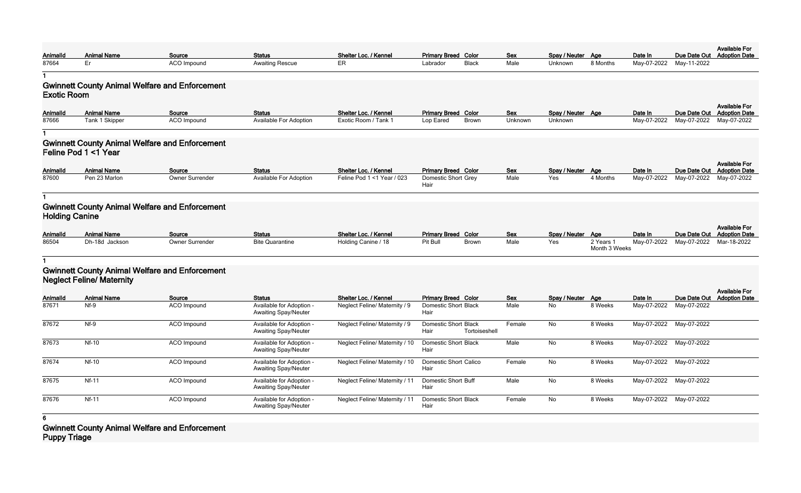|                |                                  |                                                       |                                                         |                                       |                                                      |            |                   |                            |             |                         | <b>Available For</b>                               |
|----------------|----------------------------------|-------------------------------------------------------|---------------------------------------------------------|---------------------------------------|------------------------------------------------------|------------|-------------------|----------------------------|-------------|-------------------------|----------------------------------------------------|
| Animalld       | <b>Animal Name</b>               | Source                                                | <b>Status</b>                                           | Shelter Loc. / Kennel                 | <b>Primary Breed Color</b>                           | <b>Sex</b> | Spay / Neuter Age |                            | Date In     | Due Date Out            | <b>Adoption Date</b>                               |
| 87664          | Er                               | ACO Impound                                           | <b>Awaiting Rescue</b>                                  | ER                                    | <b>Black</b><br>Labrador                             | Male       | Unknown           | 8 Months                   | May-07-2022 | May-11-2022             |                                                    |
|                |                                  |                                                       |                                                         |                                       |                                                      |            |                   |                            |             |                         |                                                    |
| Exotic Room    |                                  | <b>Gwinnett County Animal Welfare and Enforcement</b> |                                                         |                                       |                                                      |            |                   |                            |             |                         |                                                    |
| Animalld       | <b>Animal Name</b>               | Source                                                | <b>Status</b>                                           | Shelter Loc. / Kennel                 | <b>Primary Breed Color</b>                           | <b>Sex</b> | Spay / Neuter Age |                            | Date In     | Due Date Out            | <b>Available For</b><br><b>Adoption Date</b>       |
| 87666          | Tank 1 Skipper                   | <b>ACO</b> Impound                                    | Available For Adoption                                  | Exotic Room / Tank 1                  | Lop Eared<br>Brown                                   | Unknown    | Unknown           |                            | May-07-2022 | May-07-2022             | May-07-2022                                        |
|                |                                  |                                                       |                                                         |                                       |                                                      |            |                   |                            |             |                         |                                                    |
|                |                                  |                                                       |                                                         |                                       |                                                      |            |                   |                            |             |                         |                                                    |
|                | Feline Pod 1 <1 Year             | <b>Gwinnett County Animal Welfare and Enforcement</b> |                                                         |                                       |                                                      |            |                   |                            |             |                         |                                                    |
| Animalld       | <b>Animal Name</b>               | Source                                                | <b>Status</b>                                           | Shelter Loc. / Kennel                 | <b>Primary Breed Color</b>                           | <b>Sex</b> | Spay / Neuter Age |                            | Date In     | Due Date Out            | <b>Available For</b><br><b>Adoption Date</b>       |
| 87600          | Pen 23 Marlon                    | Owner Surrender                                       | Available For Adoption                                  | Feline Pod 1 <1 Year / 023            | Domestic Short Grey<br>Hair                          | Male       | Yes               | 4 Months                   | May-07-2022 | May-07-2022             | May-07-2022                                        |
|                |                                  |                                                       |                                                         |                                       |                                                      |            |                   |                            |             |                         |                                                    |
| Holding Canine |                                  | <b>Gwinnett County Animal Welfare and Enforcement</b> |                                                         |                                       |                                                      |            |                   |                            |             |                         |                                                    |
|                |                                  |                                                       |                                                         |                                       |                                                      |            |                   |                            |             |                         | <b>Available For</b>                               |
| Animalld       | <b>Animal Name</b>               | Source<br>Owner Surrender                             | <b>Status</b><br><b>Bite Quarantine</b>                 | Shelter Loc. / Kennel                 | <b>Primary Breed Color</b>                           | <b>Sex</b> | Spay / Neuter Age |                            | Date In     | Due Date Out            | <b>Adoption Date</b>                               |
| 86504          | Dh-18d Jackson                   |                                                       |                                                         | Holding Canine / 18                   | Pit Bull<br><b>Brown</b>                             | Male       | Yes               | 2 Years 1<br>Month 3 Weeks | May-07-2022 | May-07-2022             | Mar-18-2022                                        |
|                |                                  |                                                       |                                                         |                                       |                                                      |            |                   |                            |             |                         |                                                    |
|                | <b>Neglect Feline/ Maternity</b> | <b>Gwinnett County Animal Welfare and Enforcement</b> |                                                         |                                       |                                                      |            |                   |                            |             |                         |                                                    |
| Animalld       | <b>Animal Name</b>               | Source                                                | <b>Status</b>                                           | Shelter Loc. / Kennel                 | <b>Primary Breed Color</b>                           | <b>Sex</b> | Spay / Neuter Age |                            | Date In     |                         | <b>Available For</b><br>Due Date Out Adoption Date |
| 87671          | Nf-9                             | <b>ACO Impound</b>                                    | Available for Adoption -<br><b>Awaiting Spay/Neuter</b> | Neglect Feline/ Maternity / 9         | <b>Domestic Short Black</b><br>Hair                  | Male       | No                | 8 Weeks                    |             | May-07-2022 May-07-2022 |                                                    |
| 87672          | $Nf-9$                           | <b>ACO Impound</b>                                    | Available for Adoption -<br><b>Awaiting Spay/Neuter</b> | Neglect Feline/ Maternity / 9         | <b>Domestic Short Black</b><br>Tortoiseshell<br>Hair | Female     | No                | 8 Weeks                    |             | May-07-2022 May-07-2022 |                                                    |
| 87673          | <b>Nf-10</b>                     | ACO Impound                                           | Available for Adoption -<br><b>Awaiting Spay/Neuter</b> | Neglect Feline/ Maternity / 10        | <b>Domestic Short Black</b><br>Hair                  | Male       | No                | 8 Weeks                    |             | May-07-2022 May-07-2022 |                                                    |
| 87674          | <b>Nf-10</b>                     | ACO Impound                                           | Available for Adoption -<br><b>Awaiting Spay/Neuter</b> | Neglect Feline/ Maternity / 10        | Domestic Short Calico<br>Hair                        | Female     | No                | 8 Weeks                    |             | May-07-2022 May-07-2022 |                                                    |
| 87675          | <b>Nf-11</b>                     | <b>ACO Impound</b>                                    | Available for Adoption -<br><b>Awaiting Spay/Neuter</b> | <b>Neglect Feline/ Maternity / 11</b> | <b>Domestic Short Buff</b><br>Hair                   | Male       | No                | 8 Weeks                    |             | May-07-2022 May-07-2022 |                                                    |
| 87676          | $Nf-11$                          | ACO Impound                                           | Available for Adoption -<br><b>Awaiting Spay/Neuter</b> | <b>Neglect Feline/ Maternity / 11</b> | <b>Domestic Short Black</b><br>Hair                  | Female     | No                | 8 Weeks                    |             | May-07-2022 May-07-2022 |                                                    |
|                |                                  |                                                       |                                                         |                                       |                                                      |            |                   |                            |             |                         |                                                    |

**6**

**Gwinnett County Animal Welfare and Enforcement Puppy Triage**